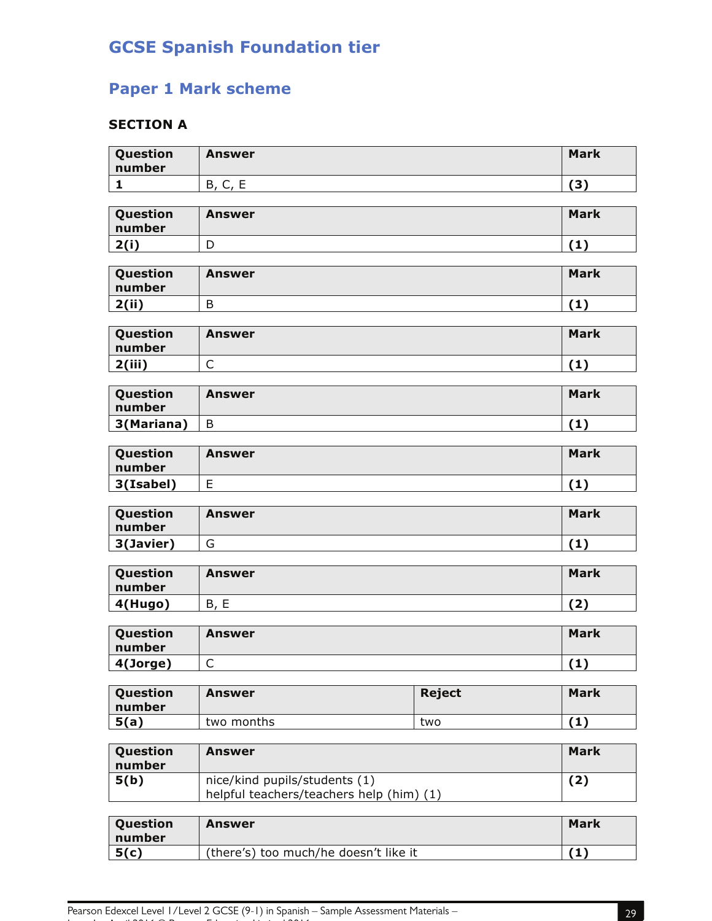## **GCSE Spanish Foundation tier**

## **Paper 1 Mark scheme**

## **SECTION A**

| Question<br>number | <b>Answer</b>                            |               | <b>Mark</b> |
|--------------------|------------------------------------------|---------------|-------------|
| $\mathbf{1}$       | B, C, E                                  |               | (3)         |
|                    |                                          |               |             |
| Question<br>number | <b>Answer</b>                            |               | <b>Mark</b> |
| 2(i)               | D                                        |               | (1)         |
|                    |                                          |               |             |
| Question<br>number | <b>Answer</b>                            |               | <b>Mark</b> |
| 2(ii)              | B                                        |               | (1)         |
|                    |                                          |               |             |
| Question<br>number | <b>Answer</b>                            |               | <b>Mark</b> |
| 2(iii)             | $\mathsf{C}$                             |               | (1)         |
|                    |                                          |               |             |
| Question<br>number | <b>Answer</b>                            |               | <b>Mark</b> |
| 3(Mariana)         | B                                        |               | (1)         |
|                    |                                          |               |             |
| Question<br>number | <b>Answer</b>                            |               | <b>Mark</b> |
| 3(Isabel)          | E                                        |               | (1)         |
|                    |                                          |               |             |
| Question<br>number | <b>Answer</b>                            |               | <b>Mark</b> |
| 3(Javier)          | G                                        |               | (1)         |
|                    |                                          |               |             |
| Question           | <b>Answer</b>                            |               | <b>Mark</b> |
| number             |                                          |               |             |
|                    | B, E                                     |               |             |
| 4(Hugo)            |                                          |               | (2)         |
| Question<br>number | <b>Answer</b>                            |               | <b>Mark</b> |
| 4(Jorge)           | $\mathsf C$                              |               | (1)         |
|                    |                                          |               |             |
| Question<br>number | <b>Answer</b>                            | <b>Reject</b> | <b>Mark</b> |
| 5(a)               | two months                               | two           | (1)         |
|                    |                                          |               |             |
| Question<br>number | <b>Answer</b>                            |               | <b>Mark</b> |
| 5(b)               | nice/kind pupils/students (1)            |               | (2)         |
|                    | helpful teachers/teachers help (him) (1) |               |             |
| Question<br>number | <b>Answer</b>                            |               | <b>Mark</b> |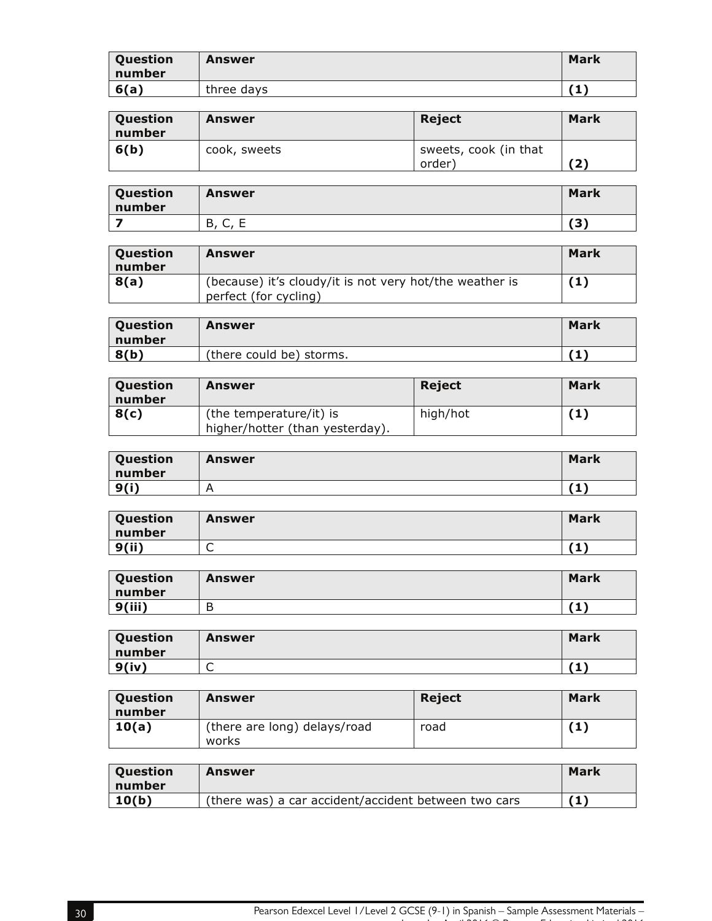| Question<br>number | Answer     | <b>Mark</b> |
|--------------------|------------|-------------|
| 6(a)               | three days |             |

| Question<br>number | Answer       | Reject                          | <b>Mark</b> |
|--------------------|--------------|---------------------------------|-------------|
| 6(b)               | cook, sweets | sweets, cook (in that<br>order) | (2)         |

| Question<br>number | Answer                | <b>Mark</b> |
|--------------------|-----------------------|-------------|
|                    | −<br>В<br>∽<br>ີ<br>- | 791<br>د    |

| Question<br>number | Answer                                                                           | Mark |
|--------------------|----------------------------------------------------------------------------------|------|
| 8(a)               | (because) it's cloudy/it is not very hot/the weather is<br>perfect (for cycling) | (1)  |

| Question<br>number | Answer                   | Mark |
|--------------------|--------------------------|------|
| 8(b)               | (there could be) storms. |      |

| Question<br>number | <b>Answer</b>                                              | Reject   | <b>Mark</b> |
|--------------------|------------------------------------------------------------|----------|-------------|
| 8(c)               | (the temperature/it) is<br>higher/hotter (than yesterday). | high/hot | '1)         |

| Question<br>number | Answer | <b>Mark</b> |
|--------------------|--------|-------------|
| 9(i)               | n      | 7 4 J       |

| Question<br>number | Answer | <b>Mark</b> |
|--------------------|--------|-------------|
| 9(ii)              | ∽<br>◡ | ъ<br>J.     |

| Question<br>number | Answer | <b>Mark</b> |
|--------------------|--------|-------------|
| 9(iii)             | D      |             |

| Question<br>number | <b>Answer</b> | <b>Mark</b> |
|--------------------|---------------|-------------|
| 9(iv)              | ∽<br>ั        |             |

| <b>Question</b><br>number | Answer                                | <b>Reject</b> | Mark |
|---------------------------|---------------------------------------|---------------|------|
| 10(a)                     | (there are long) delays/road<br>works | road          |      |

| Question<br>number | Answer                                               | Mark |
|--------------------|------------------------------------------------------|------|
| 10(b)              | (there was) a car accident/accident between two cars |      |

Issue 1 – April 2016 © Pearson Education Limited 2016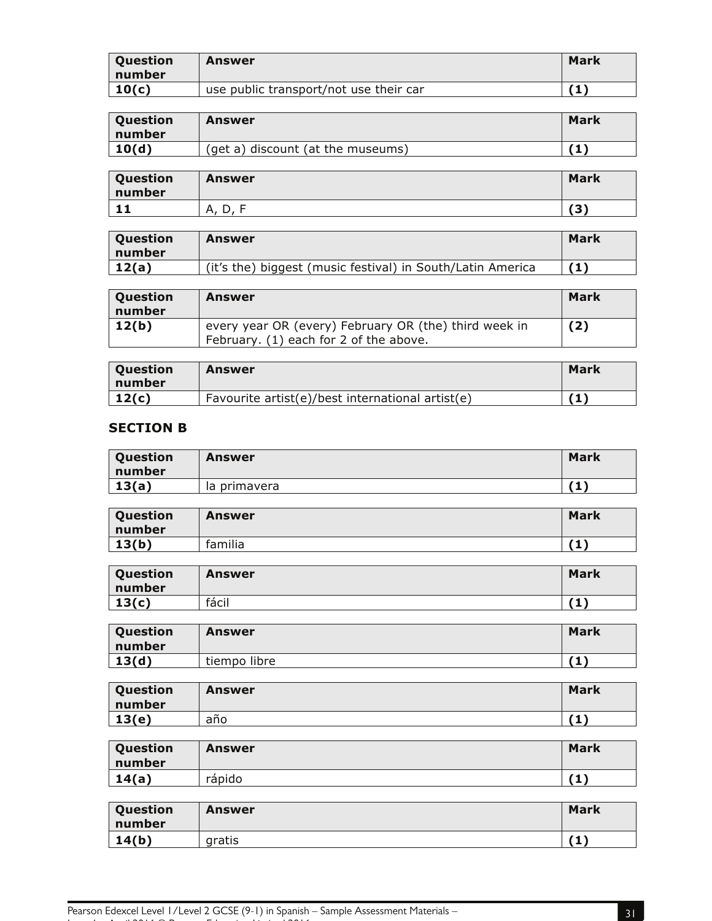| Question<br>number | Answer                                 | Mark |
|--------------------|----------------------------------------|------|
| 10(c)              | use public transport/not use their car |      |

| Question<br>number | Answer                            | Mark |
|--------------------|-----------------------------------|------|
| 10(d)              | (get a) discount (at the museums) |      |

| Question<br>number | Answer  | <b>Mark</b>         |
|--------------------|---------|---------------------|
| . .                | Α.<br>້ | $\mathbf{r}$<br>۔ ت |

| <b>Ouestion</b><br>number | Answer                                                     | <b>Mark</b> |
|---------------------------|------------------------------------------------------------|-------------|
| 12(a)                     | (it's the) biggest (music festival) in South/Latin America |             |

| Question<br>number | Answer                                                                                          | Mark |
|--------------------|-------------------------------------------------------------------------------------------------|------|
| 12(b)              | every year OR (every) February OR (the) third week in<br>February. (1) each for 2 of the above. | (2)  |

| <b>Question</b><br>number | Answer                                           | Mark         |
|---------------------------|--------------------------------------------------|--------------|
| 12(c)                     | Favourite artist(e)/best international artist(e) | $\mathbf{1}$ |

## **SECTION B**

| Question<br>number | Answer       | Mark |
|--------------------|--------------|------|
| 13(a)              | la primavera | .    |

| Question<br>number | Answer  | <b>Mark</b> |
|--------------------|---------|-------------|
| 13(b)              | familia | 7 4 Y       |

| Question<br>number | Answer | <b>Mark</b> |
|--------------------|--------|-------------|
| 13(c)              | fácil  | 7 A N       |

| Question<br>number | Answer       | Mark  |
|--------------------|--------------|-------|
| 13(d)              | tiempo libre | 7 M T |

| Question<br>number | Answer | <b>Mark</b> |
|--------------------|--------|-------------|
| 13(e)              | año    | 7 4 J       |

| Question<br>number | Answer | <b>Mark</b> |
|--------------------|--------|-------------|
| 14(a)              | rápido | (1)         |

| Question<br>number | Answer | <b>Mark</b> |
|--------------------|--------|-------------|
| 14(b)              | gratis | 74 V<br>л.  |